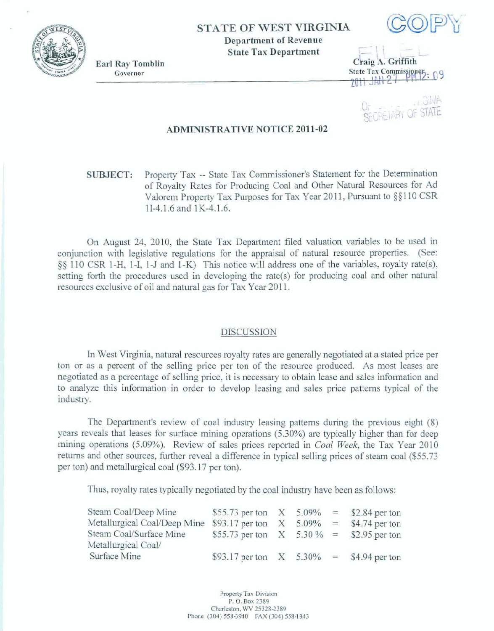

## **STATE OF** WEST **VIRGINIA Department of Revenue**



**Earl Ray Tomblin Governor** 

State Tax Department<br>Craig A. Griffith<br>State Tax Commissioner

**FIELARY OF STATE** 

## **ADMINISTRATIVE NOTICE 2011-02**

**SUBJECT: Property** Tax - **State Tax** Commissioner's **Statement** for the **Determination**  of Royalty **Rates** for **Producing** Coal and **Other** Natural Resources for **Ad Vdorem** Property **Tax Purposes for Tax** Year 20 **1** 1, Pursuant **to** *55* **1 10 CSR 11-4.1.6** ad **1K-4.1.6.** 

**On August 24,** 2010, the **State Tax** Department filed valuation **variables to** be **used in**  conjunction with legislative regulations for the appraisal of natural resource properties. (See: **\$9 110 CSR** 1-H, I -I, **1** -J and **1-JS) This** notice will **address** one **of** the **variables, royalty rate(s), setting forth the procedures** used in **developing** the **rate(s)** for **producing coal** and **other** mtmd resources **excIusive of oil** and natd **gas for** Tax **Year** 20 **11.** 

## **DISCUSSION**

**In** West Virginia, natural **resources** royalty rates **are generalIy** negotiated at **a** stated **price per ton or as a percent of the selling price per ton of the resource produced. As most leases are negotiated as a percentage of selling price, it is necessary to obtain** Iease and **sales** information **and to** analyze **this** information **in** order **to develop leasing arnd sales price patterns** typical **of tbe**  industry.

The **Department's review** of **coal** indusay **leasing patterns** during **the** previous **eight (8) years reveals** that **leases** for surface mining operations **(5.30%) are** typically **higher** than **for deep mining operations (5.09%).** Review **of sales prices reported** in *Coal* **Week,** the **Tax Year 2010 returns and other sources, further** reveal **a** difference **in** typical **sehg prices** of *steam* coal **(\$55.73 per** tan) and metallurgical **coal** (\$93.17 **per** ton).

Thus, **royalty** rates **typically negotiated** by **the** coal industry have **been as follows:** 

| Steam Coal/Deep Mine         | \$55.73 per ton $X = 5.09\% = 2.84$ per ton |              |            |                |
|------------------------------|---------------------------------------------|--------------|------------|----------------|
| Metallurgical Coal/Deep Mine | \$93.17 per ton                             | $\mathbf{X}$ | $5.09\% =$ | \$4.74 per ton |
| Steam Coal/Surface Mine      | \$55.73 per ton $X = 5.30\% = 2.95$ per ton |              |            |                |
| Metallurgical Coal/          |                                             |              |            |                |
| Surface Mine                 | \$93.17 per ton $X = 5.30\% = 4.94$ per ton |              |            |                |